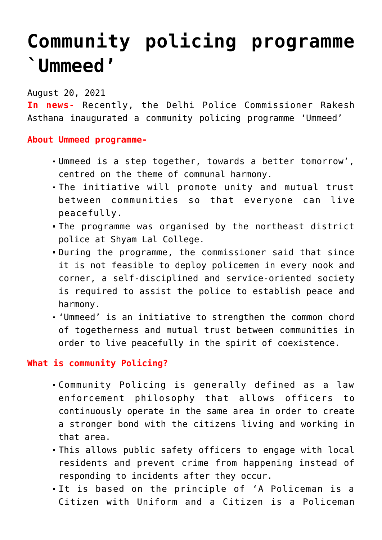## **[Community policing programme](https://journalsofindia.com/community-policing-programme-ummeed/) [`Ummeed'](https://journalsofindia.com/community-policing-programme-ummeed/)**

August 20, 2021

**In news-** Recently, the Delhi Police Commissioner Rakesh Asthana inaugurated a community policing programme 'Ummeed'

**About Ummeed programme-**

- Ummeed is a step together, towards a better tomorrow', centred on the theme of communal harmony.
- The initiative will promote unity and mutual trust between communities so that everyone can live peacefully.
- The programme was organised by the northeast district police at Shyam Lal College.
- During the programme, the commissioner said that since it is not feasible to deploy policemen in every nook and corner, a self-disciplined and service-oriented society is required to assist the police to establish peace and harmony.
- 'Ummeed' is an initiative to strengthen the common chord of togetherness and mutual trust between communities in order to live peacefully in the spirit of coexistence.

## **What is community Policing?**

- Community Policing is generally defined as a law enforcement philosophy that allows officers to continuously operate in the same area in order to create a stronger bond with the citizens living and working in that area.
- This allows public safety officers to engage with local residents and prevent crime from happening instead of responding to incidents after they occur.
- It is based on the principle of 'A Policeman is a Citizen with Uniform and a Citizen is a Policeman